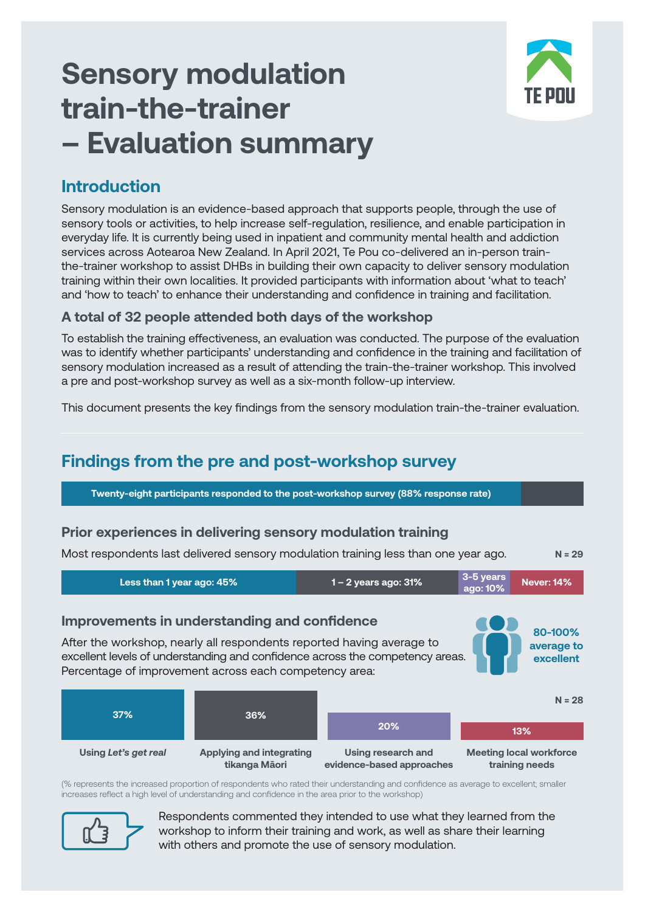# **Sensory modulation train-the-trainer – Evaluation summary**



## **Introduction**

Sensory modulation is an evidence-based approach that supports people, through the use of sensory tools or activities, to help increase self-regulation, resilience, and enable participation in everyday life. It is currently being used in inpatient and community mental health and addiction services across Aotearoa New Zealand. In April 2021, Te Pou co-delivered an in-person trainthe-trainer workshop to assist DHBs in building their own capacity to deliver sensory modulation training within their own localities. It provided participants with information about 'what to teach' and 'how to teach' to enhance their understanding and confidence in training and facilitation.

### **A total of 32 people attended both days of the workshop**

To establish the training effectiveness, an evaluation was conducted. The purpose of the evaluation was to identify whether participants' understanding and confidence in the training and facilitation of sensory modulation increased as a result of attending the train-the-trainer workshop. This involved a pre and post-workshop survey as well as a six-month follow-up interview.

This document presents the key findings from the sensory modulation train-the-trainer evaluation.

# **Findings from the pre and post-workshop survey**

**Twenty-eight participants responded to the post-workshop survey (88% response rate)**

### **Prior experiences in delivering sensory modulation training**

**N = 29** Most respondents last delivered sensory modulation training less than one year ago.



### **Improvements in understanding and confidence**

After the workshop, nearly all respondents reported having average to excellent levels of understanding and confidence across the competency areas. Percentage of improvement across each competency area:





(% represents the increased proportion of respondents who rated their understanding and confidence as average to excellent; smaller increases reflect a high level of understanding and confidence in the area prior to the workshop)



Respondents commented they intended to use what they learned from the workshop to inform their training and work, as well as share their learning with others and promote the use of sensory modulation.